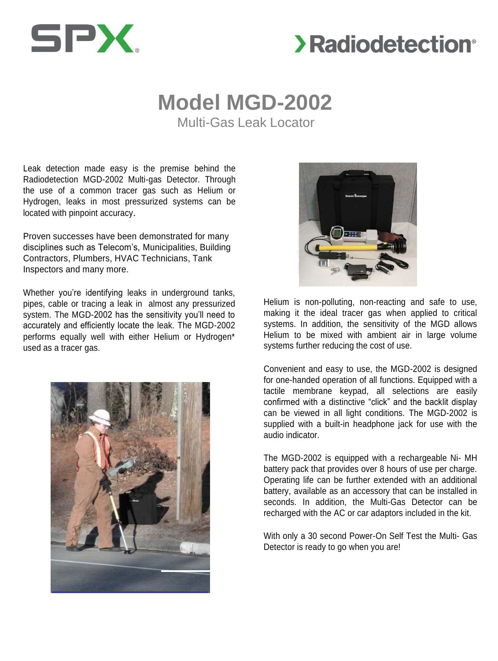

# **>Radiodetection**<sup>®</sup>

# **Model MGD-2002**

Multi-Gas Leak Locator

Leak detection made easy is the premise behind the Radiodetection MGD-2002 Multi-gas Detector. Through the use of a common tracer gas such as Helium or Hydrogen, leaks in most pressurized systems can be located with pinpoint accuracy.

Proven successes have been demonstrated for many disciplines such as Telecom's, Municipalities, Building Contractors, Plumbers, HVAC Technicians, Tank Inspectors and many more.

Whether you're identifying leaks in underground tanks, pipes, cable or tracing a leak in almost any pressurized system. The MGD-2002 has the sensitivity you'll need to accurately and efficiently locate the leak. The MGD-2002 performs equally well with either Helium or Hydrogen\* used as a tracer gas.





Helium is non-polluting, non-reacting and safe to use, making it the ideal tracer gas when applied to critical systems. In addition, the sensitivity of the MGD allows Helium to be mixed with ambient air in large volume systems further reducing the cost of use.

Convenient and easy to use, the MGD-2002 is designed for one-handed operation of all functions. Equipped with a tactile membrane keypad, all selections are easily confirmed with a distinctive "click" and the backlit display can be viewed in all light conditions. The MGD-2002 is supplied with a built-in headphone jack for use with the audio indicator.

The MGD-2002 is equipped with a rechargeable Ni- MH battery pack that provides over 8 hours of use per charge. Operating life can be further extended with an additional battery, available as an accessory that can be installed in seconds. In addition, the Multi-Gas Detector can be recharged with the AC or car adaptors included in the kit.

With only a 30 second Power-On Self Test the Multi- Gas Detector is ready to go when you are!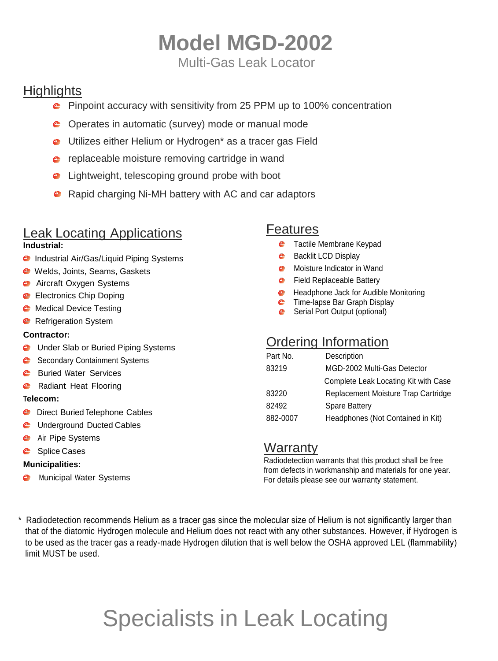# **Model MGD-2002** Multi-Gas Leak Locator

**Highlights** 

- **P** Pinpoint accuracy with sensitivity from 25 PPM up to 100% concentration
- **C** Operates in automatic (survey) mode or manual mode
- **C** Utilizes either Helium or Hydrogen\* as a tracer gas Field
- **e** replaceable moisture removing cartridge in wand
- **■** Lightweight, telescoping ground probe with boot
- **C** Rapid charging Ni-MH battery with AC and car adaptors

## Leak Locating Applications

### **Industrial:**

- **C** Industrial Air/Gas/Liquid Piping Systems
- Welds, Joints, Seams, Gaskets
- **C** Aircraft Oxygen Systems
- **C** Electronics Chip Doping
- **C** Medical Device Testing
- **C** Refrigeration System

## **Contractor:**

- **C** Under Slab or Buried Piping Systems
- Secondary Containment Systems
- **Buried Water Services**
- **C** Radiant Heat Flooring

### **Telecom:**

- **C** Direct Buried Telephone Cables
- **C** Underground Ducted Cables
- **Air Pipe Systems**
- Splice Cases

## **Municipalities:**

**C** Municipal Water Systems

## Features

- **C** Tactile Membrane Keypad
- **Backlit LCD Display**
- **C** Moisture Indicator in Wand
- **C** Field Replaceable Battery
- **C** Headphone Jack for Audible Monitoring
- **C** Time-lapse Bar Graph Display
- **Serial Port Output (optional)**

## Ordering Information

| Part No. | Description                          |
|----------|--------------------------------------|
| 83219    | MGD-2002 Multi-Gas Detector          |
|          | Complete Leak Locating Kit with Case |
| 83220    | Replacement Moisture Trap Cartridge  |
| 82492    | <b>Spare Battery</b>                 |
| 882-0007 | Headphones (Not Contained in Kit)    |

## **Warranty**

Radiodetection warrants that this product shall be free from defects in workmanship and materials for one year. For details please see our warranty statement.

\* Radiodetection recommends Helium as a tracer gas since the molecular size of Helium is not significantly larger than that of the diatomic Hydrogen molecule and Helium does not react with any other substances. However, if Hydrogen is to be used as the tracer gas a ready-made Hydrogen dilution that is well below the OSHA approved LEL (flammability) limit MUST be used.

# Specialists in Leak Locating